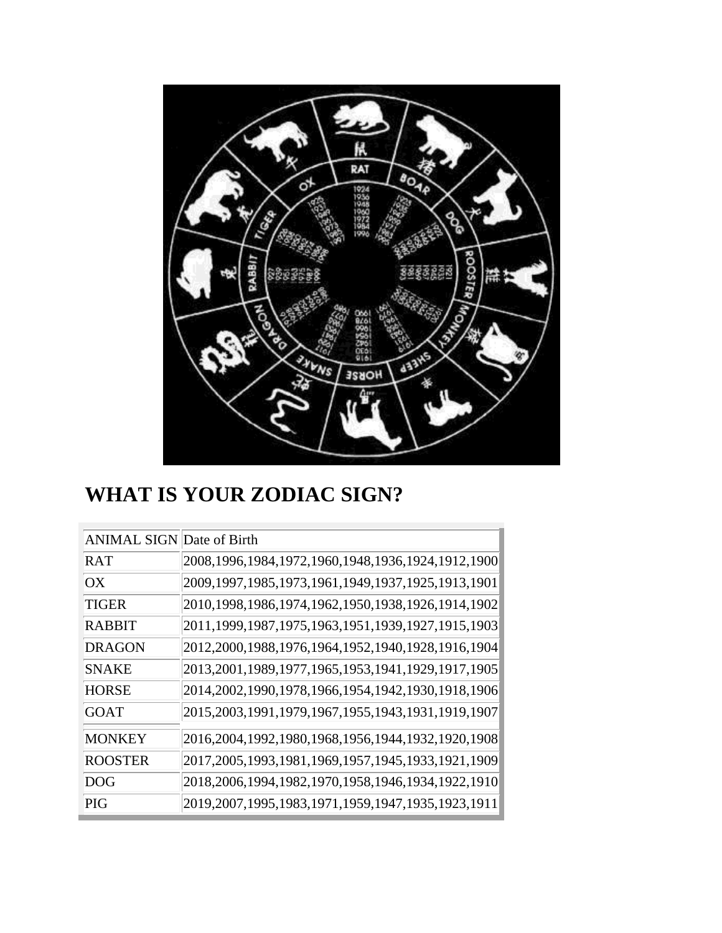

# **WHAT IS YOUR ZODIAC SIGN?**

| <b>ANIMAL SIGN Date of Birth</b> |                                                            |
|----------------------------------|------------------------------------------------------------|
| <b>RAT</b>                       | 2008,1996,1984,1972,1960,1948,1936,1924,1912,1900          |
| $\alpha x$                       | 2009,1997,1985,1973,1961,1949,1937,1925,1913,1901          |
| TIGER                            | 2010,1998,1986,1974,1962,1950,1938,1926,1914,1902          |
| <b>RABBIT</b>                    | 2011,1999,1987,1975,1963,1951,1939,1927,1915,1903          |
| <b>DRAGON</b>                    | 2012, 2000, 1988, 1976, 1964, 1952, 1940, 1928, 1916, 1904 |
| <b>SNAKE</b>                     | 2013,2001,1989,1977,1965,1953,1941,1929,1917,1905          |
| <b>HORSE</b>                     | 2014, 2002, 1990, 1978, 1966, 1954, 1942, 1930, 1918, 1906 |
| GOAT                             | 2015, 2003, 1991, 1979, 1967, 1955, 1943, 1931, 1919, 1907 |
| <b>MONKEY</b>                    | 2016,2004,1992,1980,1968,1956,1944,1932,1920,1908          |
| <b>ROOSTER</b>                   | 2017, 2005, 1993, 1981, 1969, 1957, 1945, 1933, 1921, 1909 |
| DOG                              | 2018, 2006, 1994, 1982, 1970, 1958, 1946, 1934, 1922, 1910 |
| <b>PIG</b>                       | 2019,2007,1995,1983,1971,1959,1947,1935,1923,1911          |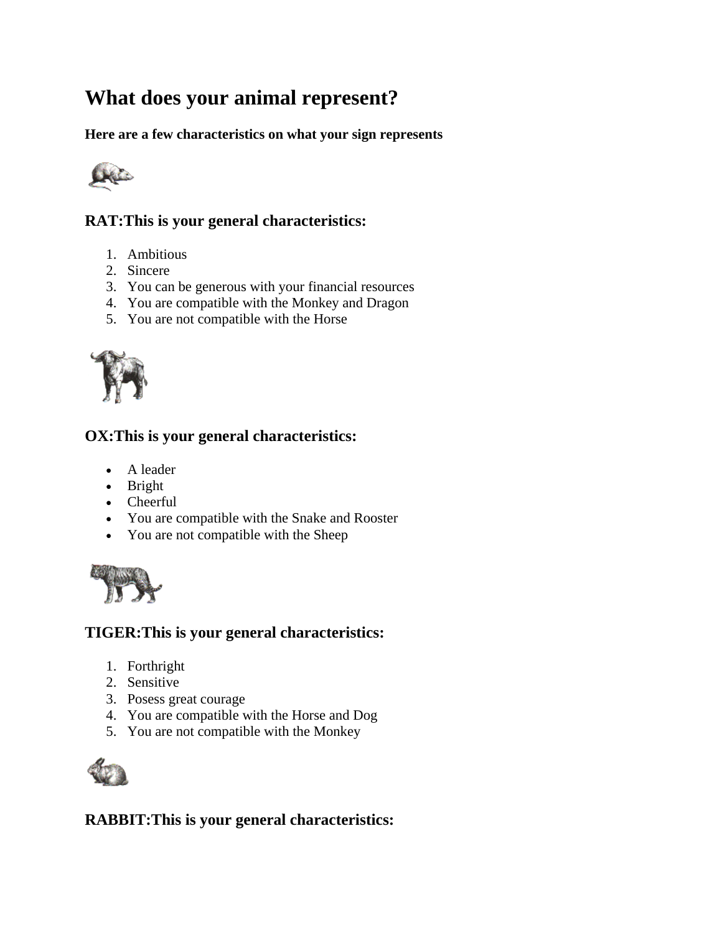# **What does your animal represent?**

**Here are a few characteristics on what your sign represents**



# **RAT:This is your general characteristics:**

- 1. Ambitious
- 2. Sincere
- 3. You can be generous with your financial resources
- 4. You are compatible with the Monkey and Dragon
- 5. You are not compatible with the Horse



#### **OX:This is your general characteristics:**

- A leader
- Bright
- Cheerful
- You are compatible with the Snake and Rooster
- You are not compatible with the Sheep



#### **TIGER:This is your general characteristics:**

- 1. Forthright
- 2. Sensitive
- 3. Posess great courage
- 4. You are compatible with the Horse and Dog
- 5. You are not compatible with the Monkey



## **RABBIT:This is your general characteristics:**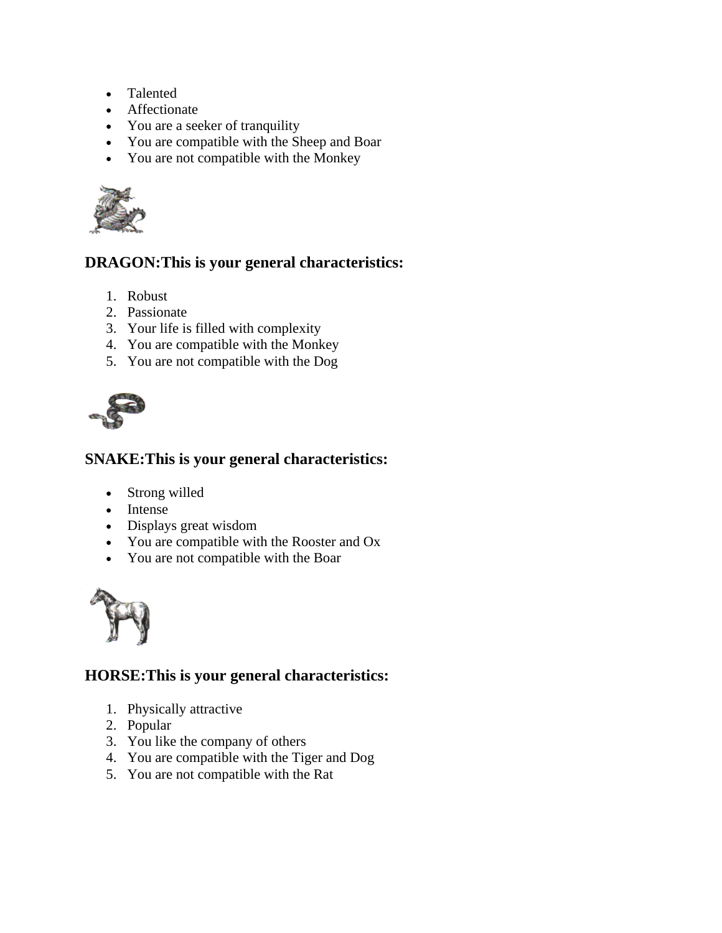- Talented
- Affectionate
- You are a seeker of tranquility
- You are compatible with the Sheep and Boar
- You are not compatible with the Monkey



# **DRAGON:This is your general characteristics:**

- 1. Robust
- 2. Passionate
- 3. Your life is filled with complexity
- 4. You are compatible with the Monkey
- 5. You are not compatible with the Dog



## **SNAKE:This is your general characteristics:**

- Strong willed
- Intense
- Displays great wisdom
- You are compatible with the Rooster and Ox
- You are not compatible with the Boar



# **HORSE:This is your general characteristics:**

- 1. Physically attractive
- 2. Popular
- 3. You like the company of others
- 4. You are compatible with the Tiger and Dog
- 5. You are not compatible with the Rat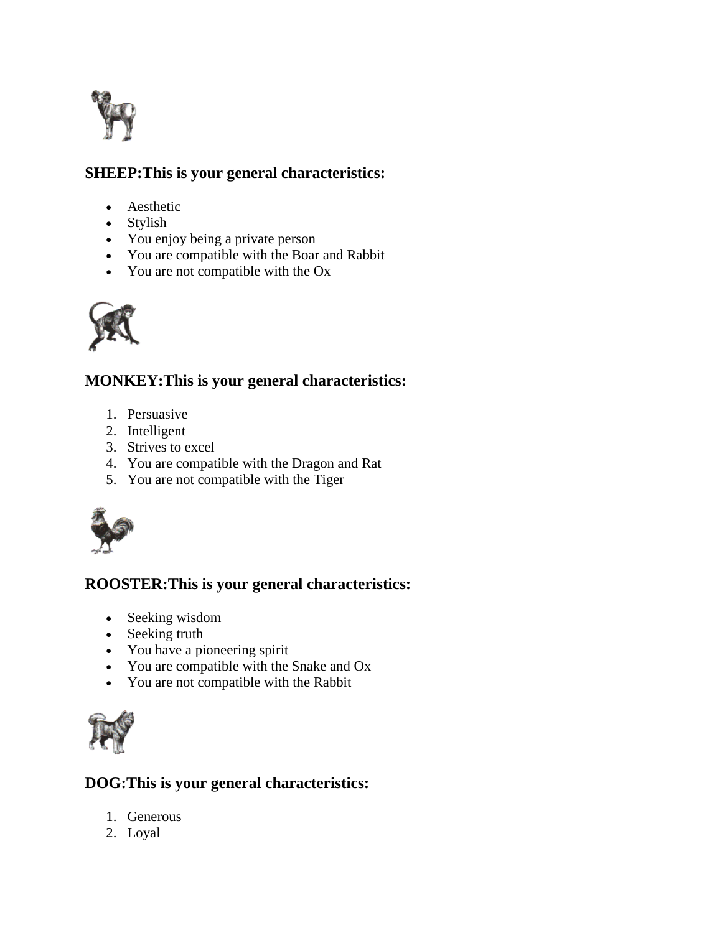

# **SHEEP:This is your general characteristics:**

- Aesthetic
- Stylish
- You enjoy being a private person
- You are compatible with the Boar and Rabbit
- You are not compatible with the Ox



# **MONKEY:This is your general characteristics:**

- 1. Persuasive
- 2. Intelligent
- 3. Strives to excel
- 4. You are compatible with the Dragon and Rat
- 5. You are not compatible with the Tiger



# **ROOSTER:This is your general characteristics:**

- Seeking wisdom
- Seeking truth
- You have a pioneering spirit
- You are compatible with the Snake and Ox
- You are not compatible with the Rabbit



# **DOG:This is your general characteristics:**

- 1. Generous
- 2. Loyal